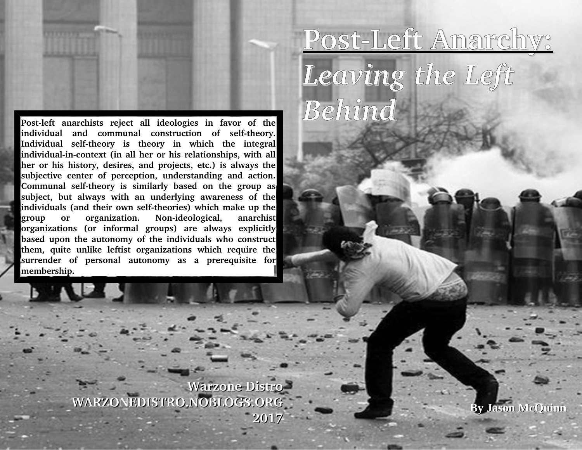Post-left anarchists reject all ideologies in favor of the individual and communal construction of self-theory. Individual self-theory is theory in which the integral individual-in-context (in all her or his relationships, with all **her or his history, desires, and projects, etc.) is always the subjective center of perception, understanding and action. Communal self-theory is similarly based on the group as subject, but always with an underlying awareness of the individuals (and their own self-theories) which make up the group or organization. Nonideological, anarchist organizations (or informal groups) are always explicitly based upon the autonomy of the individuals who construct them, quite unlike leftist organizations which require the surrender of personal autonomy as a prerequisite for membership.** 

Post-Left Anarchy: *Leaving the Left Behind*

**Warzone Distro WARZONEDISTRO.NOBLOGS.ORG 2017**

**By Jason McQuinn**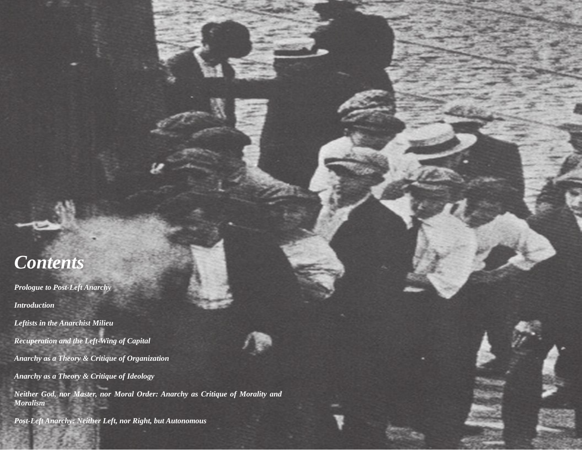# *Contents*

*Prologue to Post-Left Anarchy*

*Introduction*

*Leftists in the Anarchist Milieu*

*Recuperation and the Left-Wing of Capital*

*Anarchy as a Theory & Critique of Organization*

*Anarchy as a Theory & Critique of Ideology*

*Neither God, nor Master, nor Moral Order: Anarchy as Critique of Morality and Moralism*

*Post-Left Anarchy: Neither Left, nor Right, but Autonomous*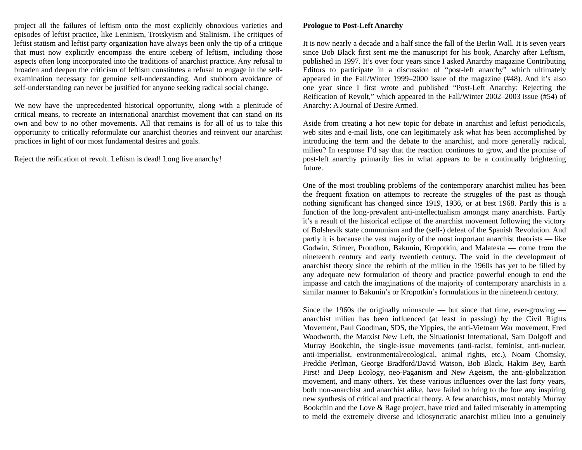project all the failures of leftism onto the most explicitly obnoxious varieties and episodes of leftist practice, like Leninism, Trotskyism and Stalinism. The critiques of leftist statism and leftist party organization have always been only the tip of a critique that must now explicitly encompass the entire iceberg of leftism, including those aspects often long incorporated into the traditions of anarchist practice. Any refusal to broaden and deepen the criticism of leftism constitutes a refusal to engage in the selfexamination necessary for genuine self-understanding. And stubborn avoidance of self-understanding can never be justified for anyone seeking radical social change.

We now have the unprecedented historical opportunity, along with a plenitude of critical means, to recreate an international anarchist movement that can stand on its own and bow to no other movements. All that remains is for all of us to take this opportunity to critically reformulate our anarchist theories and reinvent our anarchist practices in light of our most fundamental desires and goals.

Reject the reification of revolt. Leftism is dead! Long live anarchy!

## **Prologue to Post-Left Anarchy**

It is now nearly a decade and a half since the fall of the Berlin Wall. It is seven years since Bob Black first sent me the manuscript for his book, Anarchy after Leftism, published in 1997. It's over four years since I asked Anarchy magazine Contributing Editors to participate in a discussion of "post-left anarchy" which ultimately appeared in the Fall/Winter 1999–2000 issue of the magazine (#48). And it's also one year since I first wrote and published "Post-Left Anarchy: Rejecting the Reification of Revolt," which appeared in the Fall/Winter 2002–2003 issue (#54) of Anarchy: A Journal of Desire Armed.

Aside from creating a hot new topic for debate in anarchist and leftist periodicals, web sites and e-mail lists, one can legitimately ask what has been accomplished by introducing the term and the debate to the anarchist, and more generally radical, milieu? In response I'd say that the reaction continues to grow, and the promise of post-left anarchy primarily lies in what appears to be a continually brightening future.

One of the most troubling problems of the contemporary anarchist milieu has been the frequent fixation on attempts to recreate the struggles of the past as though nothing significant has changed since 1919, 1936, or at best 1968. Partly this is a function of the long-prevalent anti-intellectualism amongst many anarchists. Partly it's a result of the historical eclipse of the anarchist movement following the victory of Bolshevik state communism and the (self-) defeat of the Spanish Revolution. And partly it is because the vast majority of the most important anarchist theorists — like Godwin, Stirner, Proudhon, Bakunin, Kropotkin, and Malatesta — come from the nineteenth century and early twentieth century. The void in the development of anarchist theory since the rebirth of the milieu in the 1960s has yet to be filled by any adequate new formulation of theory and practice powerful enough to end the impasse and catch the imaginations of the majority of contemporary anarchists in a similar manner to Bakunin's or Kropotkin's formulations in the nineteenth century.

Since the 1960s the originally minuscule — but since that time, ever-growing anarchist milieu has been influenced (at least in passing) by the Civil Rights Movement, Paul Goodman, SDS, the Yippies, the anti-Vietnam War movement, Fred Woodworth, the Marxist New Left, the Situationist International, Sam Dolgoff and Murray Bookchin, the single-issue movements (anti-racist, feminist, anti-nuclear, anti-imperialist, environmental/ecological, animal rights, etc.), Noam Chomsky, Freddie Perlman, George Bradford/David Watson, Bob Black, Hakim Bey, Earth First! and Deep Ecology, neo-Paganism and New Ageism, the anti-globalization movement, and many others. Yet these various influences over the last forty years, both non-anarchist and anarchist alike, have failed to bring to the fore any inspiring new synthesis of critical and practical theory. A few anarchists, most notably Murray Bookchin and the Love & Rage project, have tried and failed miserably in attempting to meld the extremely diverse and idiosyncratic anarchist milieu into a genuinely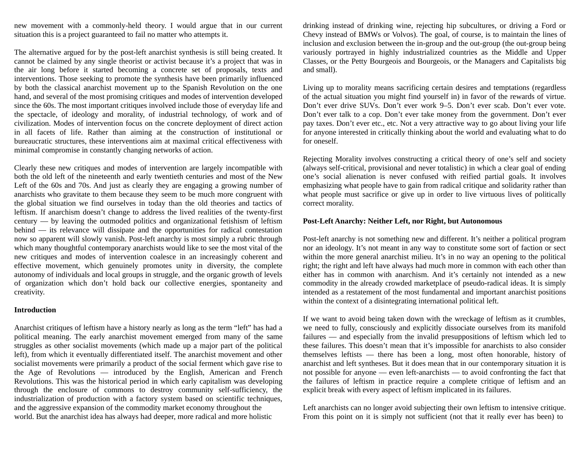new movement with a commonly-held theory. I would argue that in our current situation this is a project guaranteed to fail no matter who attempts it.

The alternative argued for by the post-left anarchist synthesis is still being created. It cannot be claimed by any single theorist or activist because it's a project that was in the air long before it started becoming a concrete set of proposals, texts and interventions. Those seeking to promote the synthesis have been primarily influenced by both the classical anarchist movement up to the Spanish Revolution on the one hand, and several of the most promising critiques and modes of intervention developed since the 60s. The most important critiques involved include those of everyday life and the spectacle, of ideology and morality, of industrial technology, of work and of civilization. Modes of intervention focus on the concrete deployment of direct action in all facets of life. Rather than aiming at the construction of institutional or bureaucratic structures, these interventions aim at maximal critical effectiveness with minimal compromise in constantly changing networks of action.

Clearly these new critiques and modes of intervention are largely incompatible with both the old left of the nineteenth and early twentieth centuries and most of the New Left of the 60s and 70s. And just as clearly they are engaging a growing number of anarchists who gravitate to them because they seem to be much more congruent with the global situation we find ourselves in today than the old theories and tactics of leftism. If anarchism doesn't change to address the lived realities of the twenty-first century — by leaving the outmoded politics and organizational fetishism of leftism behind — its relevance will dissipate and the opportunities for radical contestation now so apparent will slowly vanish. Post-left anarchy is most simply a rubric through which many thoughtful contemporary anarchists would like to see the most vital of the new critiques and modes of intervention coalesce in an increasingly coherent and effective movement, which genuinely promotes unity in diversity, the complete autonomy of individuals and local groups in struggle, and the organic growth of levels of organization which don't hold back our collective energies, spontaneity and creativity.

#### **Introduction**

Anarchist critiques of leftism have a history nearly as long as the term "left" has had a political meaning. The early anarchist movement emerged from many of the same struggles as other socialist movements (which made up a major part of the political left), from which it eventually differentiated itself. The anarchist movement and other socialist movements were primarily a product of the social ferment which gave rise to the Age of Revolutions — introduced by the English, American and French Revolutions. This was the historical period in which early capitalism was developing through the enclosure of commons to destroy community self-sufficiency, the industrialization of production with a factory system based on scientific techniques, and the aggressive expansion of the commodity market economy throughout the world. But the anarchist idea has always had deeper, more radical and more holistic

drinking instead of drinking wine, rejecting hip subcultures, or driving a Ford or Chevy instead of BMWs or Volvos). The goal, of course, is to maintain the lines of inclusion and exclusion between the in-group and the out-group (the out-group being variously portrayed in highly industrialized countries as the Middle and Upper Classes, or the Petty Bourgeois and Bourgeois, or the Managers and Capitalists big and small).

Living up to morality means sacrificing certain desires and temptations (regardless of the actual situation you might find yourself in) in favor of the rewards of virtue. Don't ever drive SUVs. Don't ever work 9–5. Don't ever scab. Don't ever vote. Don't ever talk to a cop. Don't ever take money from the government. Don't ever pay taxes. Don't ever etc., etc. Not a very attractive way to go about living your life for anyone interested in critically thinking about the world and evaluating what to do for oneself.

Rejecting Morality involves constructing a critical theory of one's self and society (always self-critical, provisional and never totalistic) in which a clear goal of ending one's social alienation is never confused with reified partial goals. It involves emphasizing what people have to gain from radical critique and solidarity rather than what people must sacrifice or give up in order to live virtuous lives of politically correct morality.

#### **Post-Left Anarchy: Neither Left, nor Right, but Autonomous**

Post-left anarchy is not something new and different. It's neither a political program nor an ideology. It's not meant in any way to constitute some sort of faction or sect within the more general anarchist milieu. It's in no way an opening to the political right; the right and left have always had much more in common with each other than either has in common with anarchism. And it's certainly not intended as a new commodity in the already crowded marketplace of pseudo-radical ideas. It is simply intended as a restatement of the most fundamental and important anarchist positions within the context of a disintegrating international political left.

If we want to avoid being taken down with the wreckage of leftism as it crumbles, we need to fully, consciously and explicitly dissociate ourselves from its manifold failures — and especially from the invalid presuppositions of leftism which led to these failures. This doesn't mean that it's impossible for anarchists to also consider themselves leftists — there has been a long, most often honorable, history of anarchist and left syntheses. But it does mean that in our contemporary situation it is not possible for anyone — even left-anarchists — to avoid confronting the fact that the failures of leftism in practice require a complete critique of leftism and an explicit break with every aspect of leftism implicated in its failures.

Left anarchists can no longer avoid subjecting their own leftism to intensive critique. From this point on it is simply not sufficient (not that it really ever has been) to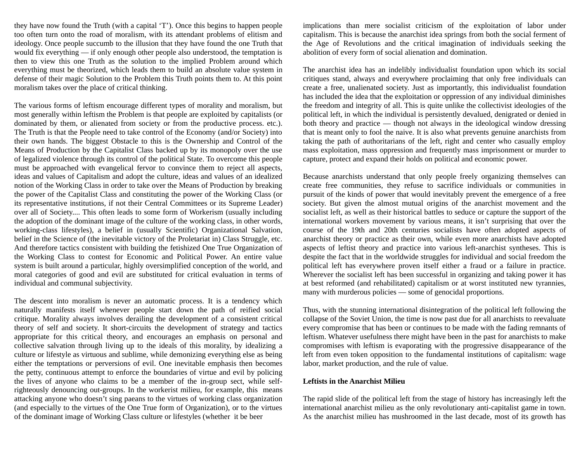they have now found the Truth (with a capital 'T'). Once this begins to happen people too often turn onto the road of moralism, with its attendant problems of elitism and ideology. Once people succumb to the illusion that they have found the one Truth that would fix everything — if only enough other people also understood, the temptation is then to view this one Truth as the solution to the implied Problem around which everything must be theorized, which leads them to build an absolute value system in defense of their magic Solution to the Problem this Truth points them to. At this point moralism takes over the place of critical thinking.

The various forms of leftism encourage different types of morality and moralism, but most generally within leftism the Problem is that people are exploited by capitalists (or dominated by them, or alienated from society or from the productive process. etc.). The Truth is that the People need to take control of the Economy (and/or Society) into their own hands. The biggest Obstacle to this is the Ownership and Control of the Means of Production by the Capitalist Class backed up by its monopoly over the use of legalized violence through its control of the political State. To overcome this people must be approached with evangelical fervor to convince them to reject all aspects, ideas and values of Capitalism and adopt the culture, ideas and values of an idealized notion of the Working Class in order to take over the Means of Production by breaking the power of the Capitalist Class and constituting the power of the Working Class (or its representative institutions, if not their Central Committees or its Supreme Leader) over all of Society.... This often leads to some form of Workerism (usually including the adoption of the dominant image of the culture of the working class, in other words, working-class lifestyles), a belief in (usually Scientific) Organizational Salvation, belief in the Science of (the inevitable victory of the Proletariat in) Class Struggle, etc. And therefore tactics consistent with building the fetishized One True Organization of the Working Class to contest for Economic and Political Power. An entire value system is built around a particular, highly oversimplified conception of the world, and moral categories of good and evil are substituted for critical evaluation in terms of individual and communal subjectivity.

The descent into moralism is never an automatic process. It is a tendency which naturally manifests itself whenever people start down the path of reified social critique. Morality always involves derailing the development of a consistent critical theory of self and society. It short-circuits the development of strategy and tactics appropriate for this critical theory, and encourages an emphasis on personal and collective salvation through living up to the ideals of this morality, by idealizing a culture or lifestyle as virtuous and sublime, while demonizing everything else as being either the temptations or perversions of evil. One inevitable emphasis then becomes the petty, continuous attempt to enforce the boundaries of virtue and evil by policing the lives of anyone who claims to be a member of the in-group sect, while selfrighteously denouncing out-groups. In the workerist milieu, for example, this means attacking anyone who doesn't sing paeans to the virtues of working class organization (and especially to the virtues of the One True form of Organization), or to the virtues of the dominant image of Working Class culture or lifestyles (whether it be beer

implications than mere socialist criticism of the exploitation of labor under capitalism. This is because the anarchist idea springs from both the social ferment of the Age of Revolutions and the critical imagination of individuals seeking the abolition of every form of social alienation and domination.

The anarchist idea has an indelibly individualist foundation upon which its social critiques stand, always and everywhere proclaiming that only free individuals can create a free, unalienated society. Just as importantly, this individualist foundation has included the idea that the exploitation or oppression of any individual diminishes the freedom and integrity of all. This is quite unlike the collectivist ideologies of the political left, in which the individual is persistently devalued, denigrated or denied in both theory and practice — though not always in the ideological window dressing that is meant only to fool the naive. It is also what prevents genuine anarchists from taking the path of authoritarians of the left, right and center who casually employ mass exploitation, mass oppression and frequently mass imprisonment or murder to capture, protect and expand their holds on political and economic power.

Because anarchists understand that only people freely organizing themselves can create free communities, they refuse to sacrifice individuals or communities in pursuit of the kinds of power that would inevitably prevent the emergence of a free society. But given the almost mutual origins of the anarchist movement and the socialist left, as well as their historical battles to seduce or capture the support of the international workers movement by various means, it isn't surprising that over the course of the 19th and 20th centuries socialists have often adopted aspects of anarchist theory or practice as their own, while even more anarchists have adopted aspects of leftist theory and practice into various left-anarchist syntheses. This is despite the fact that in the worldwide struggles for individual and social freedom the political left has everywhere proven itself either a fraud or a failure in practice. Wherever the socialist left has been successful in organizing and taking power it has at best reformed (and rehabilitated) capitalism or at worst instituted new tyrannies, many with murderous policies — some of genocidal proportions.

Thus, with the stunning international disintegration of the political left following the collapse of the Soviet Union, the time is now past due for all anarchists to reevaluate every compromise that has been or continues to be made with the fading remnants of leftism. Whatever usefulness there might have been in the past for anarchists to make compromises with leftism is evaporating with the progressive disappearance of the left from even token opposition to the fundamental institutions of capitalism: wage labor, market production, and the rule of value.

#### **Leftists in the Anarchist Milieu**

The rapid slide of the political left from the stage of history has increasingly left the international anarchist milieu as the only revolutionary anti-capitalist game in town. As the anarchist milieu has mushroomed in the last decade, most of its growth has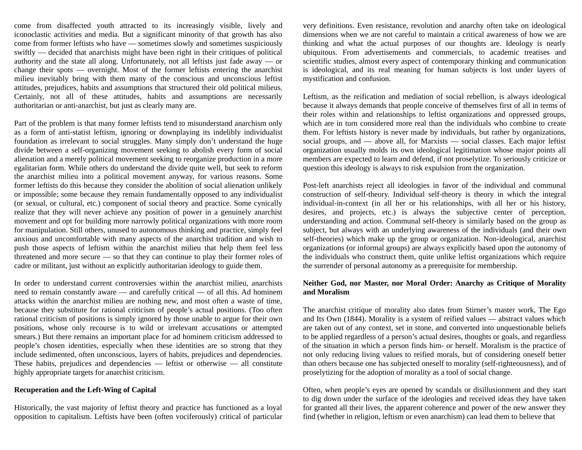come from disaffected youth attracted to its increasingly visible, lively and iconoclastic activities and media. But a significant minority of that growth has also come from former leftists who have — sometimes slowly and sometimes suspiciously swiftly — decided that anarchists might have been right in their critiques of political authority and the state all along. Unfortunately, not all leftists just fade away — or change their spots — overnight. Most of the former leftists entering the anarchist milieu inevitably bring with them many of the conscious and unconscious leftist attitudes, prejudices, habits and assumptions that structured their old political milieus. Certainly, not all of these attitudes, habits and assumptions are necessarily authoritarian or anti-anarchist, but just as clearly many are.

Part of the problem is that many former leftists tend to misunderstand anarchism only as a form of anti-statist leftism, ignoring or downplaying its indelibly individualist foundation as irrelevant to social struggles. Many simply don't understand the huge divide between a self-organizing movement seeking to abolish every form of social alienation and a merely political movement seeking to reorganize production in a more egalitarian form. While others do understand the divide quite well, but seek to reform the anarchist milieu into a political movement anyway, for various reasons. Some former leftists do this because they consider the abolition of social alienation unlikely or impossible; some because they remain fundamentally opposed to any individualist (or sexual, or cultural, etc.) component of social theory and practice. Some cynically realize that they will never achieve any position of power in a genuinely anarchist movement and opt for building more narrowly political organizations with more room for manipulation. Still others, unused to autonomous thinking and practice, simply feel anxious and uncomfortable with many aspects of the anarchist tradition and wish to push those aspects of leftism within the anarchist milieu that help them feel less threatened and more secure — so that they can continue to play their former roles of cadre or militant, just without an explicitly authoritarian ideology to guide them.

In order to understand current controversies within the anarchist milieu, anarchists need to remain constantly aware — and carefully critical — of all this. Ad hominem attacks within the anarchist milieu are nothing new, and most often a waste of time, because they substitute for rational criticism of people's actual positions. (Too often rational criticism of positions is simply ignored by those unable to argue for their own positions, whose only recourse is to wild or irrelevant accusations or attempted smears.) But there remains an important place for ad hominem criticism addressed to people's chosen identities, especially when these identities are so strong that they include sedimented, often unconscious, layers of habits, prejudices and dependencies. These habits, prejudices and dependencies — leftist or otherwise — all constitute highly appropriate targets for anarchist criticism.

## **Recuperation and the Left-Wing of Capital**

Historically, the vast majority of leftist theory and practice has functioned as a loyal opposition to capitalism. Leftists have been (often vociferously) critical of particular very definitions. Even resistance, revolution and anarchy often take on ideological dimensions when we are not careful to maintain a critical awareness of how we are thinking and what the actual purposes of our thoughts are. Ideology is nearly ubiquitous. From advertisements and commercials, to academic treatises and scientific studies, almost every aspect of contemporary thinking and communication is ideological, and its real meaning for human subjects is lost under layers of mystification and confusion.

Leftism, as the reification and mediation of social rebellion, is always ideological because it always demands that people conceive of themselves first of all in terms of their roles within and relationships to leftist organizations and oppressed groups, which are in turn considered more real than the individuals who combine to create them. For leftists history is never made by individuals, but rather by organizations, social groups, and — above all, for Marxists — social classes. Each major leftist organization usually molds its own ideological legitimation whose major points all members are expected to learn and defend, if not proselytize. To seriously criticize or question this ideology is always to risk expulsion from the organization.

Post-left anarchists reject all ideologies in favor of the individual and communal construction of self-theory. Individual self-theory is theory in which the integral individual-in-context (in all her or his relationships, with all her or his history, desires, and projects, etc.) is always the subjective center of perception, understanding and action. Communal self-theory is similarly based on the group as subject, but always with an underlying awareness of the individuals (and their own self-theories) which make up the group or organization. Non-ideological, anarchist organizations (or informal groups) are always explicitly based upon the autonomy of the individuals who construct them, quite unlike leftist organizations which require the surrender of personal autonomy as a prerequisite for membership.

# **Neither God, nor Master, nor Moral Order: Anarchy as Critique of Morality and Moralism**

The anarchist critique of morality also dates from Stirner's master work, The Ego and Its Own (1844). Morality is a system of reified values — abstract values which are taken out of any context, set in stone, and converted into unquestionable beliefs to be applied regardless of a person's actual desires, thoughts or goals, and regardless of the situation in which a person finds him- or herself. Moralism is the practice of not only reducing living values to reified morals, but of considering oneself better than others because one has subjected oneself to morality (self-righteousness), and of proselytizing for the adoption of morality as a tool of social change.

Often, when people's eyes are opened by scandals or disillusionment and they start to dig down under the surface of the ideologies and received ideas they have taken for granted all their lives, the apparent coherence and power of the new answer they find (whether in religion, leftism or even anarchism) can lead them to believe that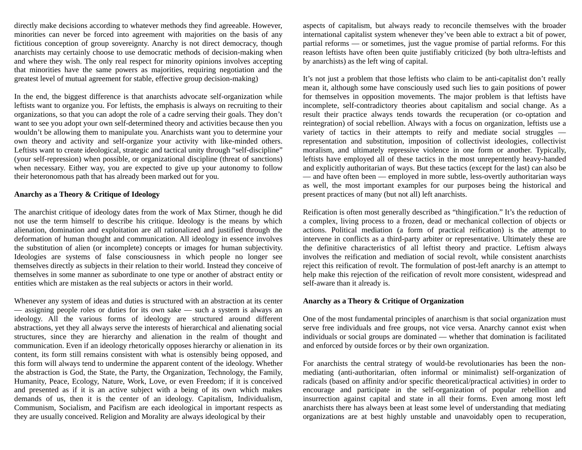directly make decisions according to whatever methods they find agreeable. However, minorities can never be forced into agreement with majorities on the basis of any fictitious conception of group sovereignty. Anarchy is not direct democracy, though anarchists may certainly choose to use democratic methods of decision-making when and where they wish. The only real respect for minority opinions involves accepting that minorities have the same powers as majorities, requiring negotiation and the greatest level of mutual agreement for stable, effective group decision-making)

In the end, the biggest difference is that anarchists advocate self-organization while leftists want to organize you. For leftists, the emphasis is always on recruiting to their organizations, so that you can adopt the role of a cadre serving their goals. They don't want to see you adopt your own self-determined theory and activities because then you wouldn't be allowing them to manipulate you. Anarchists want you to determine your own theory and activity and self-organize your activity with like-minded others. Leftists want to create ideological, strategic and tactical unity through "self-discipline" (your self-repression) when possible, or organizational discipline (threat of sanctions) when necessary. Either way, you are expected to give up your autonomy to follow their heteronomous path that has already been marked out for you.

## **Anarchy as a Theory & Critique of Ideology**

The anarchist critique of ideology dates from the work of Max Stirner, though he did not use the term himself to describe his critique. Ideology is the means by which alienation, domination and exploitation are all rationalized and justified through the deformation of human thought and communication. All ideology in essence involves the substitution of alien (or incomplete) concepts or images for human subjectivity. Ideologies are systems of false consciousness in which people no longer see themselves directly as subjects in their relation to their world. Instead they conceive of themselves in some manner as subordinate to one type or another of abstract entity or entities which are mistaken as the real subjects or actors in their world.

Whenever any system of ideas and duties is structured with an abstraction at its center — assigning people roles or duties for its own sake — such a system is always an ideology. All the various forms of ideology are structured around different abstractions, yet they all always serve the interests of hierarchical and alienating social structures, since they are hierarchy and alienation in the realm of thought and communication. Even if an ideology rhetorically opposes hierarchy or alienation in its content, its form still remains consistent with what is ostensibly being opposed, and this form will always tend to undermine the apparent content of the ideology. Whether the abstraction is God, the State, the Party, the Organization, Technology, the Family, Humanity, Peace, Ecology, Nature, Work, Love, or even Freedom; if it is conceived and presented as if it is an active subject with a being of its own which makes demands of us, then it is the center of an ideology. Capitalism, Individualism, Communism, Socialism, and Pacifism are each ideological in important respects as they are usually conceived. Religion and Morality are always ideological by their

aspects of capitalism, but always ready to reconcile themselves with the broader international capitalist system whenever they've been able to extract a bit of power, partial reforms — or sometimes, just the vague promise of partial reforms. For this reason leftists have often been quite justifiably criticized (by both ultra-leftists and by anarchists) as the left wing of capital.

It's not just a problem that those leftists who claim to be anti-capitalist don't really mean it, although some have consciously used such lies to gain positions of power for themselves in opposition movements. The major problem is that leftists have incomplete, self-contradictory theories about capitalism and social change. As a result their practice always tends towards the recuperation (or co-optation and reintegration) of social rebellion. Always with a focus on organization, leftists use a variety of tactics in their attempts to reify and mediate social struggles representation and substitution, imposition of collectivist ideologies, collectivist moralism, and ultimately repressive violence in one form or another. Typically, leftists have employed all of these tactics in the most unrepentently heavy-handed and explicitly authoritarian of ways. But these tactics (except for the last) can also be — and have often been — employed in more subtle, less-overtly authoritarian ways as well, the most important examples for our purposes being the historical and present practices of many (but not all) left anarchists.

Reification is often most generally described as "thingification." It's the reduction of a complex, living process to a frozen, dead or mechanical collection of objects or actions. Political mediation (a form of practical reification) is the attempt to intervene in conflicts as a third-party arbiter or representative. Ultimately these are the definitive characteristics of all leftist theory and practice. Leftism always involves the reification and mediation of social revolt, while consistent anarchists reject this reification of revolt. The formulation of post-left anarchy is an attempt to help make this rejection of the reification of revolt more consistent, widespread and self-aware than it already is.

## **Anarchy as a Theory & Critique of Organization**

One of the most fundamental principles of anarchism is that social organization must serve free individuals and free groups, not vice versa. Anarchy cannot exist when individuals or social groups are dominated — whether that domination is facilitated and enforced by outside forces or by their own organization.

For anarchists the central strategy of would-be revolutionaries has been the nonmediating (anti-authoritarian, often informal or minimalist) self-organization of radicals (based on affinity and/or specific theoretical/practical activities) in order to encourage and participate in the self-organization of popular rebellion and insurrection against capital and state in all their forms. Even among most left anarchists there has always been at least some level of understanding that mediating organizations are at best highly unstable and unavoidably open to recuperation,